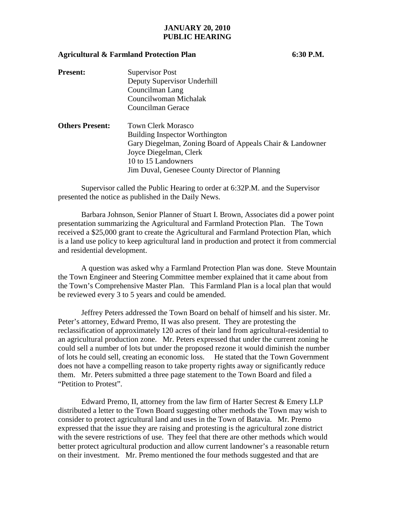## **JANUARY 20, 2010 PUBLIC HEARING**

## **Agricultural & Farmland Protection Plan 6:30 P.M.**

| <b>Present:</b>        | Supervisor Post                                           |
|------------------------|-----------------------------------------------------------|
|                        | Deputy Supervisor Underhill                               |
|                        | Councilman Lang                                           |
|                        | Councilwoman Michalak                                     |
|                        | Councilman Gerace                                         |
| <b>Others Present:</b> | <b>Town Clerk Morasco</b>                                 |
|                        | <b>Building Inspector Worthington</b>                     |
|                        | Gary Diegelman, Zoning Board of Appeals Chair & Landowner |
|                        | Joyce Diegelman, Clerk                                    |
|                        | 10 to 15 Landowners                                       |
|                        | Jim Duval, Genesee County Director of Planning            |
|                        |                                                           |

 Supervisor called the Public Hearing to order at 6:32P.M. and the Supervisor presented the notice as published in the Daily News.

 Barbara Johnson, Senior Planner of Stuart I. Brown, Associates did a power point presentation summarizing the Agricultural and Farmland Protection Plan. The Town received a \$25,000 grant to create the Agricultural and Farmland Protection Plan, which is a land use policy to keep agricultural land in production and protect it from commercial and residential development.

 A question was asked why a Farmland Protection Plan was done. Steve Mountain the Town Engineer and Steering Committee member explained that it came about from the Town's Comprehensive Master Plan. This Farmland Plan is a local plan that would be reviewed every 3 to 5 years and could be amended.

 Jeffrey Peters addressed the Town Board on behalf of himself and his sister. Mr. Peter's attorney, Edward Premo, II was also present. They are protesting the reclassification of approximately 120 acres of their land from agricultural-residential to an agricultural production zone. Mr. Peters expressed that under the current zoning he could sell a number of lots but under the proposed rezone it would diminish the number of lots he could sell, creating an economic loss. He stated that the Town Government does not have a compelling reason to take property rights away or significantly reduce them. Mr. Peters submitted a three page statement to the Town Board and filed a "Petition to Protest".

Edward Premo, II, attorney from the law firm of Harter Secrest & Emery LLP distributed a letter to the Town Board suggesting other methods the Town may wish to consider to protect agricultural land and uses in the Town of Batavia. Mr. Premo expressed that the issue they are raising and protesting is the agricultural zone district with the severe restrictions of use. They feel that there are other methods which would better protect agricultural production and allow current landowner's a reasonable return on their investment. Mr. Premo mentioned the four methods suggested and that are